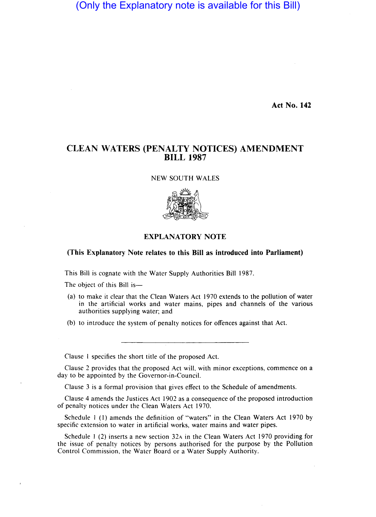## (Only the Explanatory note is available for this Bill)

Act No. 142

## CLEAN WATERS (PENALTY NOTICES) AMENDMENT BILL 1987

NEW SOUTH WALES



## EXPLANATORY NOTE

## (This Explanatory Note relates to this Bill as introduced into Parliament)

This Bill is cognate with the Water Supply Authorities Bill 1987.

The object of this Bill is-

- (a) to make it clear that the Clean Waters Act 1970 extends to the pollution of water in the artificial works and water mains, pipes and channels of the various authorities supplying water; and
- (b) to introduce the system of penalty notices for offences against that Act.

Clause I specifies the short title of the proposed Act.

Clause 2 provides that the proposed Act will, with minor exceptions, commence on a day to be appointed by the Governor-in-Council.

Clause 3 is a formal provision that gives effect to the Schedule of amendments.

Clause 4 amends the Justices Act 1902 as a consequence of the proposed introduction of penalty notices under the Clean Waters Act 1970.

Schedule 1 (1) amends the definition of "waters" in the Clean Waters Act 1970 by specific extension to water in artificial works, water mains and water pipes.

Schedule 1 (2) inserts a new section  $32A$  in the Clean Waters Act 1970 providing for the issue of penalty notices by persons authorised for the purpose by the Pollution Control Commission, the Water Board or a Water Supply Authority.